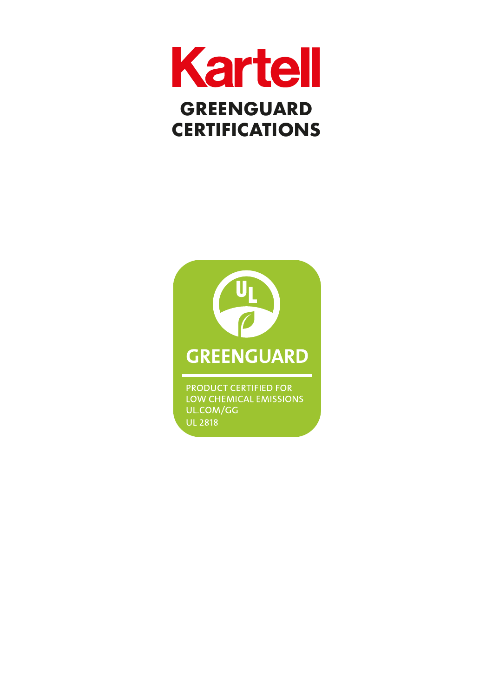



PRODUCT CERTIFIED FOR LOW CHEMICAL EMISSIONS UL.COM/GG **UL 2818**